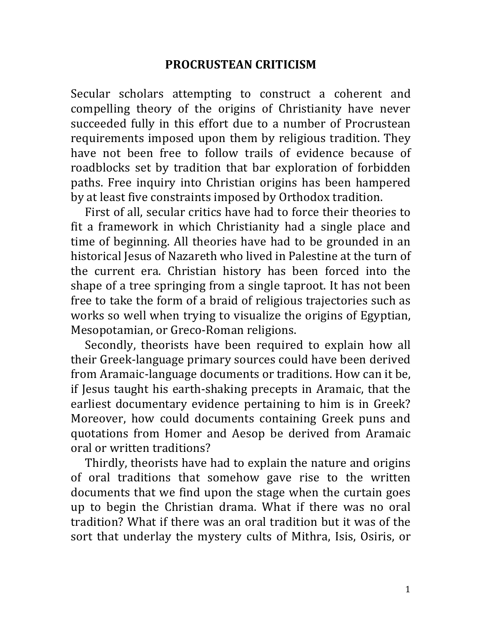## **PROCRUSTEAN+CRITICISM**

Secular scholars attempting to construct a coherent and compelling theory of the origins of Christianity have never succeeded fully in this effort due to a number of Procrustean requirements imposed upon them by religious tradition. They have not been free to follow trails of evidence because of roadblocks set by tradition that bar exploration of forbidden paths. Free inquiry into Christian origins has been hampered by at least five constraints imposed by Orthodox tradition.

First of all, secular critics have had to force their theories to fit a framework in which Christianity had a single place and time of beginning. All theories have had to be grounded in an historical Jesus of Nazareth who lived in Palestine at the turn of the current era. Christian history has been forced into the shape of a tree springing from a single taproot. It has not been free to take the form of a braid of religious trajectories such as works so well when trying to visualize the origins of Egyptian, Mesopotamian, or Greco-Roman religions.

Secondly, theorists have been required to explain how all their Greek-language primary sources could have been derived from Aramaic-language documents or traditions. How can it be, if Jesus taught his earth-shaking precepts in Aramaic, that the earliest documentary evidence pertaining to him is in Greek? Moreover, how could documents containing Greek puns and quotations from Homer and Aesop be derived from Aramaic oral or written traditions?

Thirdly, theorists have had to explain the nature and origins of oral traditions that somehow gave rise to the written documents that we find upon the stage when the curtain goes up to begin the Christian drama. What if there was no oral tradition? What if there was an oral tradition but it was of the sort that underlay the mystery cults of Mithra, Isis, Osiris, or